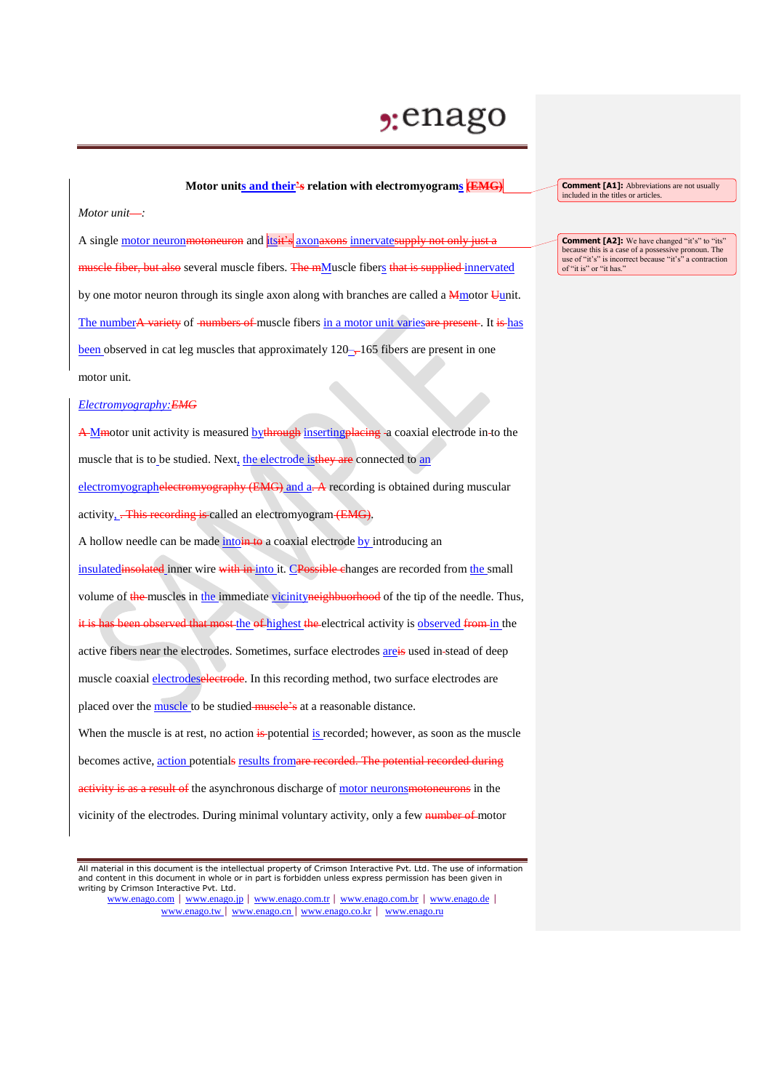## $2:$ enago

## **Motor units and their's relation with electromyograms (EMG)**

*Motor unit :*

A single motor neuronmotoneuron and itsit's axonaxons innervatesupply not only just a muscle fiber, but also several muscle fibers. The mMuscle fibers that is supplied innervated by one motor neuron through its single axon along with branches are called a **M**motor Uunit. The numberA variety of numbers of muscle fibers in a motor unit varies are present. It is has been observed in cat leg muscles that approximately  $120 - 165$  fibers are present in one motor unit.

## *Electromyography:EMG*

A M motor unit activity is measured by through inserting placing - a coaxial electrode in-to the muscle that is to be studied. Next, the electrode is they are connected to an electromyographelectromyography (EMG) and a. A recording is obtained during muscular activity, .- This recording is called an electromyogram (EMG). A hollow needle can be made into  $\frac{1}{4}$  to a coaxial electrode by introducing an insulatedinsolated inner wire with in into it. CPossible changes are recorded from the small volume of the muscles in the immediate vicinityneighbuorhood of the tip of the needle. Thus, it is has been observed that most the of highest the electrical activity is observed from in the active fibers near the electrodes. Sometimes, surface electrodes **areis** used in-stead of deep muscle coaxial electrodeselectrode. In this recording method, two surface electrodes are placed over the muscle to be studied muscle's at a reasonable distance. When the muscle is at rest, no action  $\frac{1}{2}$  potential is recorded; however, as soon as the muscle becomes active, action potentials results fromare recorded. The potential recorded during activity is as a result of the asynchronous discharge of motor neurons motoneurons in the vicinity of the electrodes. During minimal voluntary activity, only a few number of motor

**Comment [A1]:** Abbreviations are not usually included in the titles or articles.

**Comment [A2]:** We have changed "it's" to "its" because this is a case of a possessive pronoun. The use of "it's" is incorrect because "it's" a contraction of "it is" or "it has."

All material in this document is the intellectual property of Crimson Interactive Pvt. Ltd. The use of information and content in this document in whole or in part is forbidden unless express permission has been given in writing by Crimson Interactive Pvt. Ltd.

www.enago.com | www.enago.jp | www.enago.com.tr | www.enago.com.br | www.enago.de | www.enago.tw | www.enago.cn | www.enago.co.kr | www.enago.ru